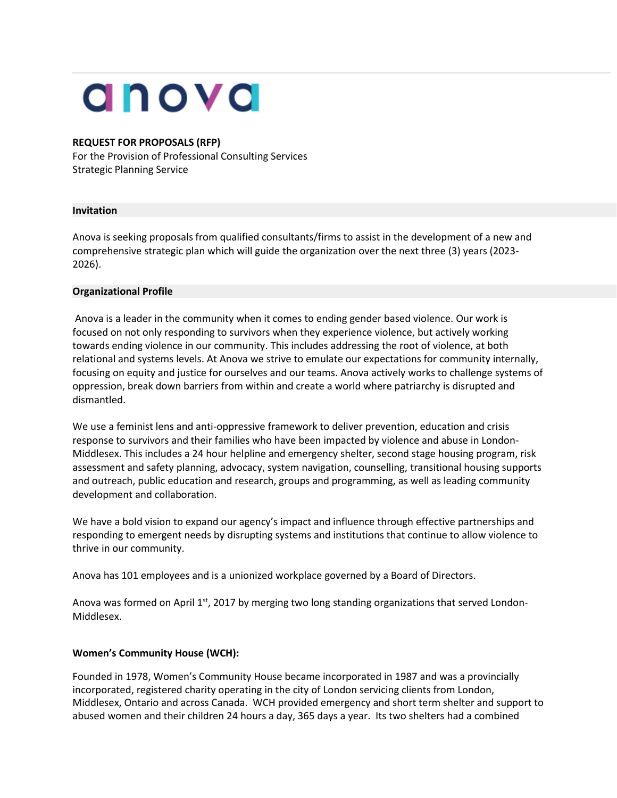# anova

#### **REQUEST FOR PROPOSALS (RFP)**

For the Provision of Professional Consulting Services Strategic Planning Service

#### **Invitation**

Anova is seeking proposals from qualified consultants/firms to assist in the development of a new and comprehensive strategic plan which will guide the organization over the next three (3) years (2023- 2026).

#### **Organizational Profile**

Anova is a leader in the community when it comes to ending gender based violence. Our work is focused on not only responding to survivors when they experience violence, but actively working towards ending violence in our community. This includes addressing the root of violence, at both relational and systems levels. At Anova we strive to emulate our expectations for community internally, focusing on equity and justice for ourselves and our teams. Anova actively works to challenge systems of oppression, break down barriers from within and create a world where patriarchy is disrupted and dismantled.

We use a feminist lens and anti-oppressive framework to deliver prevention, education and crisis response to survivors and their families who have been impacted by violence and abuse in London-Middlesex. This includes a 24 hour helpline and emergency shelter, second stage housing program, risk assessment and safety planning, advocacy, system navigation, counselling, transitional housing supports and outreach, public education and research, groups and programming, as well as leading community development and collaboration.

We have a bold vision to expand our agency's impact and influence through effective partnerships and responding to emergent needs by disrupting systems and institutions that continue to allow violence to thrive in our community.

Anova has 101 employees and is a unionized workplace governed by a Board of Directors.

Anova was formed on April 1<sup>st</sup>, 2017 by merging two long standing organizations that served London-Middlesex.

# **Women's Community House (WCH):**

Founded in 1978, Women's Community House became incorporated in 1987 and was a provincially incorporated, registered charity operating in the city of London servicing clients from London, Middlesex, Ontario and across Canada. WCH provided emergency and short term shelter and support to abused women and their children 24 hours a day, 365 days a year. Its two shelters had a combined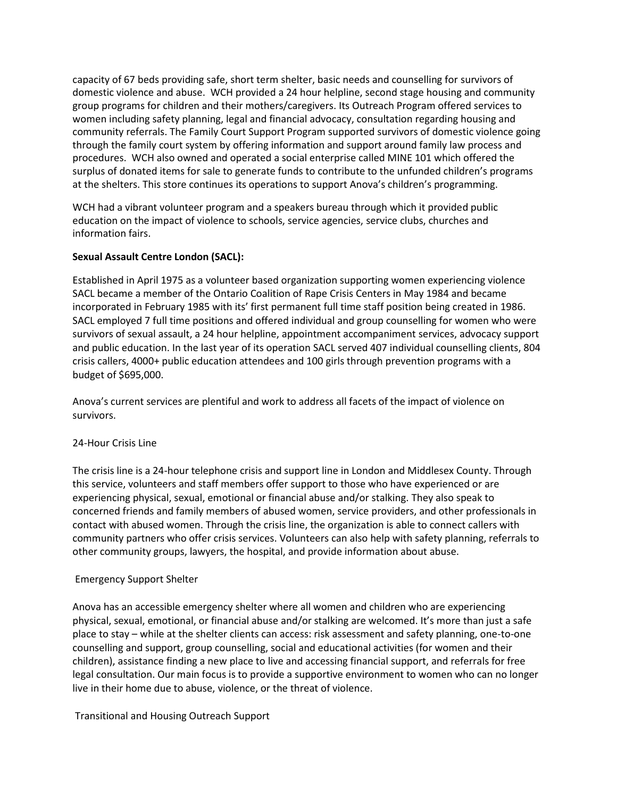capacity of 67 beds providing safe, short term shelter, basic needs and counselling for survivors of domestic violence and abuse. WCH provided a 24 hour helpline, second stage housing and community group programs for children and their mothers/caregivers. Its Outreach Program offered services to women including safety planning, legal and financial advocacy, consultation regarding housing and community referrals. The Family Court Support Program supported survivors of domestic violence going through the family court system by offering information and support around family law process and procedures. WCH also owned and operated a social enterprise called MINE 101 which offered the surplus of donated items for sale to generate funds to contribute to the unfunded children's programs at the shelters. This store continues its operations to support Anova's children's programming.

WCH had a vibrant volunteer program and a speakers bureau through which it provided public education on the impact of violence to schools, service agencies, service clubs, churches and information fairs.

# **Sexual Assault Centre London (SACL):**

Established in April 1975 as a volunteer based organization supporting women experiencing violence SACL became a member of the Ontario Coalition of Rape Crisis Centers in May 1984 and became incorporated in February 1985 with its' first permanent full time staff position being created in 1986. SACL employed 7 full time positions and offered individual and group counselling for women who were survivors of sexual assault, a 24 hour helpline, appointment accompaniment services, advocacy support and public education. In the last year of its operation SACL served 407 individual counselling clients, 804 crisis callers, 4000+ public education attendees and 100 girls through prevention programs with a budget of \$695,000.

Anova's current services are plentiful and work to address all facets of the impact of violence on survivors.

# 24-Hour Crisis Line

The crisis line is a 24-hour telephone crisis and support line in London and Middlesex County. Through this service, volunteers and staff members offer support to those who have experienced or are experiencing physical, sexual, emotional or financial abuse and/or stalking. They also speak to concerned friends and family members of abused women, service providers, and other professionals in contact with abused women. Through the crisis line, the organization is able to connect callers with community partners who offer crisis services. Volunteers can also help with safety planning, referrals to other community groups, lawyers, the hospital, and provide information about abuse.

# Emergency Support Shelter

Anova has an accessible emergency shelter where all women and children who are experiencing physical, sexual, emotional, or financial abuse and/or stalking are welcomed. It's more than just a safe place to stay – while at the shelter clients can access: risk assessment and safety planning, one-to-one counselling and support, group counselling, social and educational activities (for women and their children), assistance finding a new place to live and accessing financial support, and referrals for free legal consultation. Our main focus is to provide a supportive environment to women who can no longer live in their home due to abuse, violence, or the threat of violence.

# Transitional and Housing Outreach Support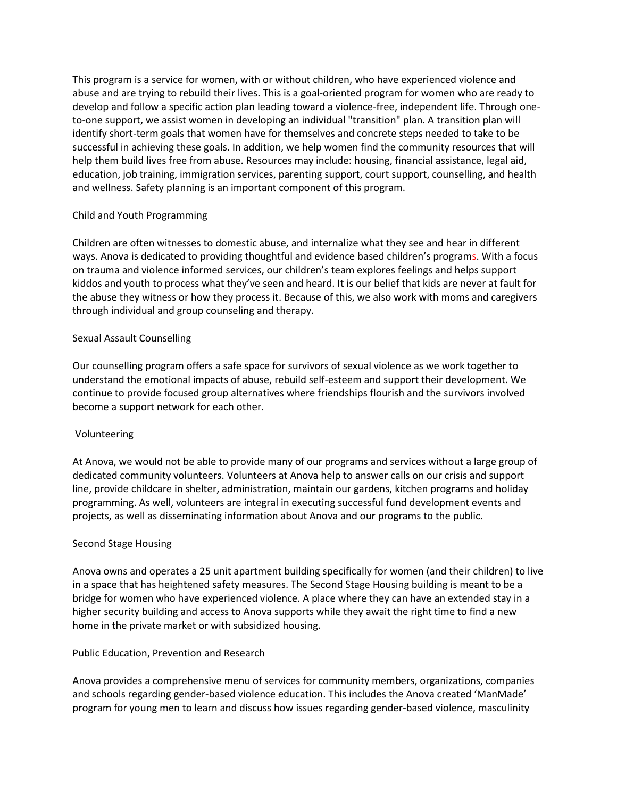This program is a service for women, with or without children, who have experienced violence and abuse and are trying to rebuild their lives. This is a goal-oriented program for women who are ready to develop and follow a specific action plan leading toward a violence-free, independent life. Through oneto-one support, we assist women in developing an individual "transition" plan. A transition plan will identify short-term goals that women have for themselves and concrete steps needed to take to be successful in achieving these goals. In addition, we help women find the community resources that will help them build lives free from abuse. Resources may include: housing, financial assistance, legal aid, education, job training, immigration services, parenting support, court support, counselling, and health and wellness. Safety planning is an important component of this program.

# Child and Youth Programming

Children are often witnesses to domestic abuse, and internalize what they see and hear in different ways. Anova is dedicated to providing thoughtful and evidence based children's programs. With a focus on trauma and violence informed services, our children's team explores feelings and helps support kiddos and youth to process what they've seen and heard. It is our belief that kids are never at fault for the abuse they witness or how they process it. Because of this, we also work with moms and caregivers through individual and group counseling and therapy.

# Sexual Assault Counselling

Our counselling program offers a safe space for survivors of sexual violence as we work together to understand the emotional impacts of abuse, rebuild self-esteem and support their development. We continue to provide focused group alternatives where friendships flourish and the survivors involved become a support network for each other.

# Volunteering

At Anova, we would not be able to provide many of our programs and services without a large group of dedicated community volunteers. Volunteers at Anova help to answer calls on our crisis and support line, provide childcare in shelter, administration, maintain our gardens, kitchen programs and holiday programming. As well, volunteers are integral in executing successful fund development events and projects, as well as disseminating information about Anova and our programs to the public.

# Second Stage Housing

Anova owns and operates a 25 unit apartment building specifically for women (and their children) to live in a space that has heightened safety measures. The Second Stage Housing building is meant to be a bridge for women who have experienced violence. A place where they can have an extended stay in a higher security building and access to Anova supports while they await the right time to find a new home in the private market or with subsidized housing.

# Public Education, Prevention and Research

Anova provides a comprehensive menu of services for community members, organizations, companies and schools regarding gender-based violence education. This includes the Anova created 'ManMade' program for young men to learn and discuss how issues regarding gender-based violence, masculinity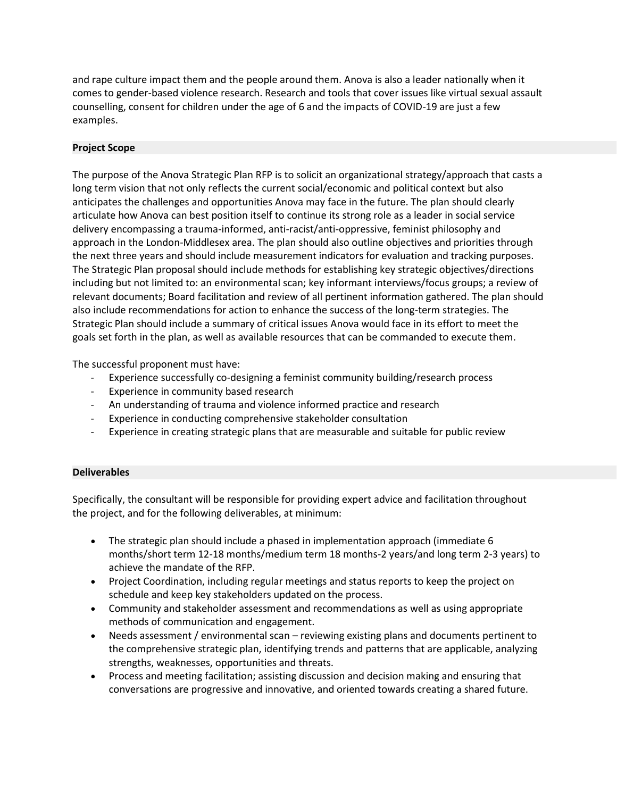and rape culture impact them and the people around them. Anova is also a leader nationally when it comes to gender-based violence research. Research and tools that cover issues like virtual sexual assault counselling, consent for children under the age of 6 and the impacts of COVID-19 are just a few examples.

# **Project Scope**

The purpose of the Anova Strategic Plan RFP is to solicit an organizational strategy/approach that casts a long term vision that not only reflects the current social/economic and political context but also anticipates the challenges and opportunities Anova may face in the future. The plan should clearly articulate how Anova can best position itself to continue its strong role as a leader in social service delivery encompassing a trauma-informed, anti-racist/anti-oppressive, feminist philosophy and approach in the London-Middlesex area. The plan should also outline objectives and priorities through the next three years and should include measurement indicators for evaluation and tracking purposes. The Strategic Plan proposal should include methods for establishing key strategic objectives/directions including but not limited to: an environmental scan; key informant interviews/focus groups; a review of relevant documents; Board facilitation and review of all pertinent information gathered. The plan should also include recommendations for action to enhance the success of the long-term strategies. The Strategic Plan should include a summary of critical issues Anova would face in its effort to meet the goals set forth in the plan, as well as available resources that can be commanded to execute them.

The successful proponent must have:

- Experience successfully co-designing a feminist community building/research process
- Experience in community based research
- An understanding of trauma and violence informed practice and research
- Experience in conducting comprehensive stakeholder consultation
- Experience in creating strategic plans that are measurable and suitable for public review

# **Deliverables**

Specifically, the consultant will be responsible for providing expert advice and facilitation throughout the project, and for the following deliverables, at minimum:

- The strategic plan should include a phased in implementation approach (immediate 6 months/short term 12-18 months/medium term 18 months-2 years/and long term 2-3 years) to achieve the mandate of the RFP.
- Project Coordination, including regular meetings and status reports to keep the project on schedule and keep key stakeholders updated on the process.
- Community and stakeholder assessment and recommendations as well as using appropriate methods of communication and engagement.
- Needs assessment / environmental scan reviewing existing plans and documents pertinent to the comprehensive strategic plan, identifying trends and patterns that are applicable, analyzing strengths, weaknesses, opportunities and threats.
- Process and meeting facilitation; assisting discussion and decision making and ensuring that conversations are progressive and innovative, and oriented towards creating a shared future.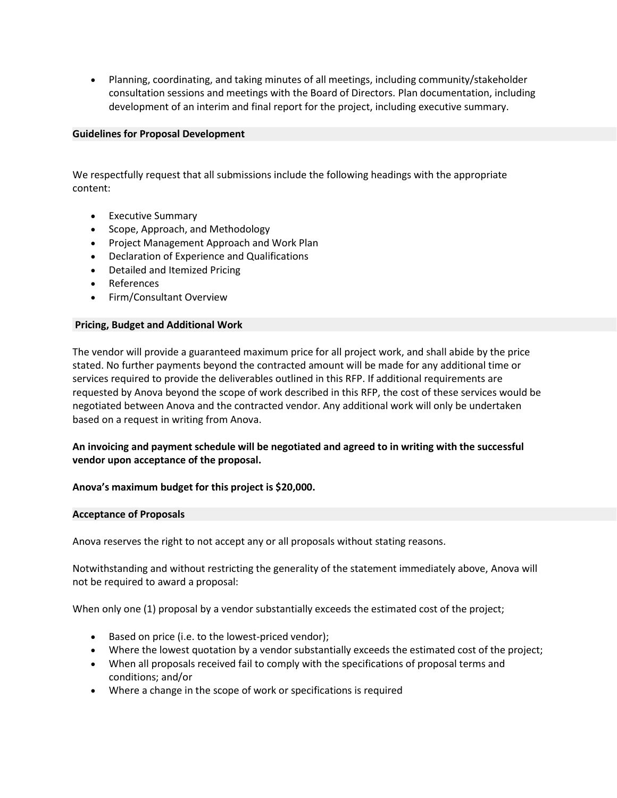• Planning, coordinating, and taking minutes of all meetings, including community/stakeholder consultation sessions and meetings with the Board of Directors. Plan documentation, including development of an interim and final report for the project, including executive summary.

# **Guidelines for Proposal Development**

We respectfully request that all submissions include the following headings with the appropriate content:

- Executive Summary
- Scope, Approach, and Methodology
- Project Management Approach and Work Plan
- Declaration of Experience and Qualifications
- Detailed and Itemized Pricing
- References
- Firm/Consultant Overview

#### **Pricing, Budget and Additional Work**

The vendor will provide a guaranteed maximum price for all project work, and shall abide by the price stated. No further payments beyond the contracted amount will be made for any additional time or services required to provide the deliverables outlined in this RFP. If additional requirements are requested by Anova beyond the scope of work described in this RFP, the cost of these services would be negotiated between Anova and the contracted vendor. Any additional work will only be undertaken based on a request in writing from Anova.

# **An invoicing and payment schedule will be negotiated and agreed to in writing with the successful vendor upon acceptance of the proposal.**

# **Anova's maximum budget for this project is \$20,000.**

#### **Acceptance of Proposals**

Anova reserves the right to not accept any or all proposals without stating reasons.

Notwithstanding and without restricting the generality of the statement immediately above, Anova will not be required to award a proposal:

When only one (1) proposal by a vendor substantially exceeds the estimated cost of the project;

- Based on price (i.e. to the lowest-priced vendor);
- Where the lowest quotation by a vendor substantially exceeds the estimated cost of the project;
- When all proposals received fail to comply with the specifications of proposal terms and conditions; and/or
- Where a change in the scope of work or specifications is required